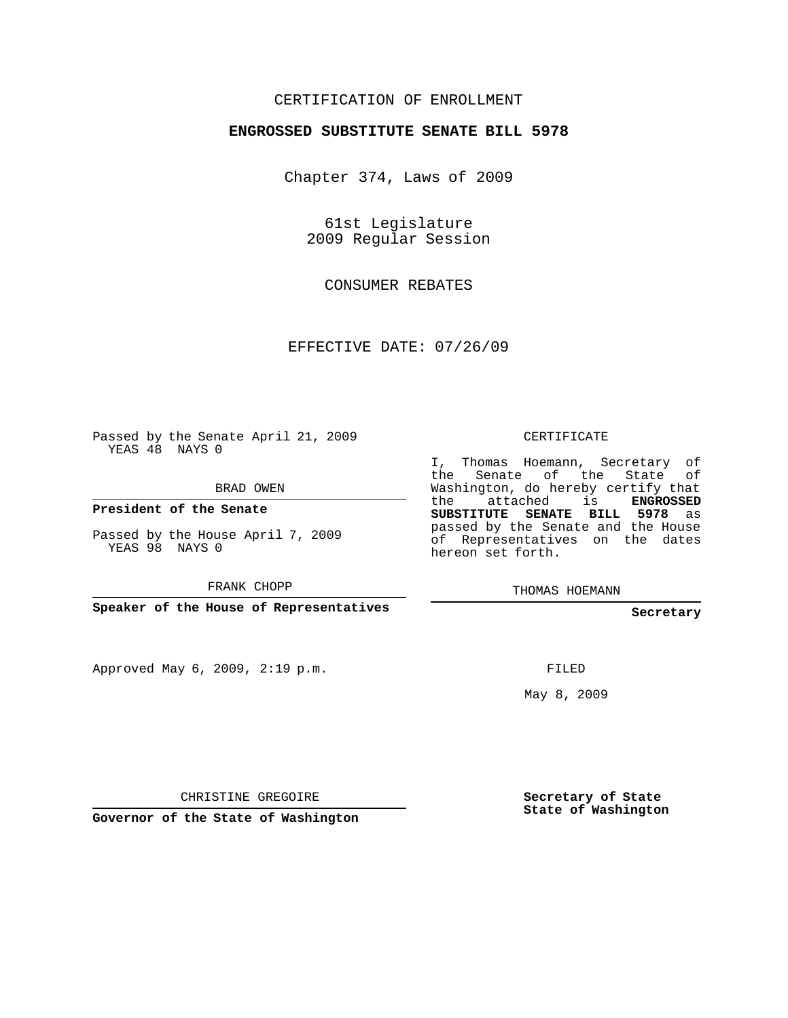## CERTIFICATION OF ENROLLMENT

## **ENGROSSED SUBSTITUTE SENATE BILL 5978**

Chapter 374, Laws of 2009

61st Legislature 2009 Regular Session

CONSUMER REBATES

EFFECTIVE DATE: 07/26/09

Passed by the Senate April 21, 2009 YEAS 48 NAYS 0

BRAD OWEN

**President of the Senate**

Passed by the House April 7, 2009 YEAS 98 NAYS 0

FRANK CHOPP

**Speaker of the House of Representatives**

Approved May 6, 2009, 2:19 p.m.

CERTIFICATE

I, Thomas Hoemann, Secretary of the Senate of the State of Washington, do hereby certify that the attached is **ENGROSSED SUBSTITUTE SENATE BILL 5978** as passed by the Senate and the House of Representatives on the dates hereon set forth.

THOMAS HOEMANN

**Secretary**

FILED

May 8, 2009

**Secretary of State State of Washington**

CHRISTINE GREGOIRE

**Governor of the State of Washington**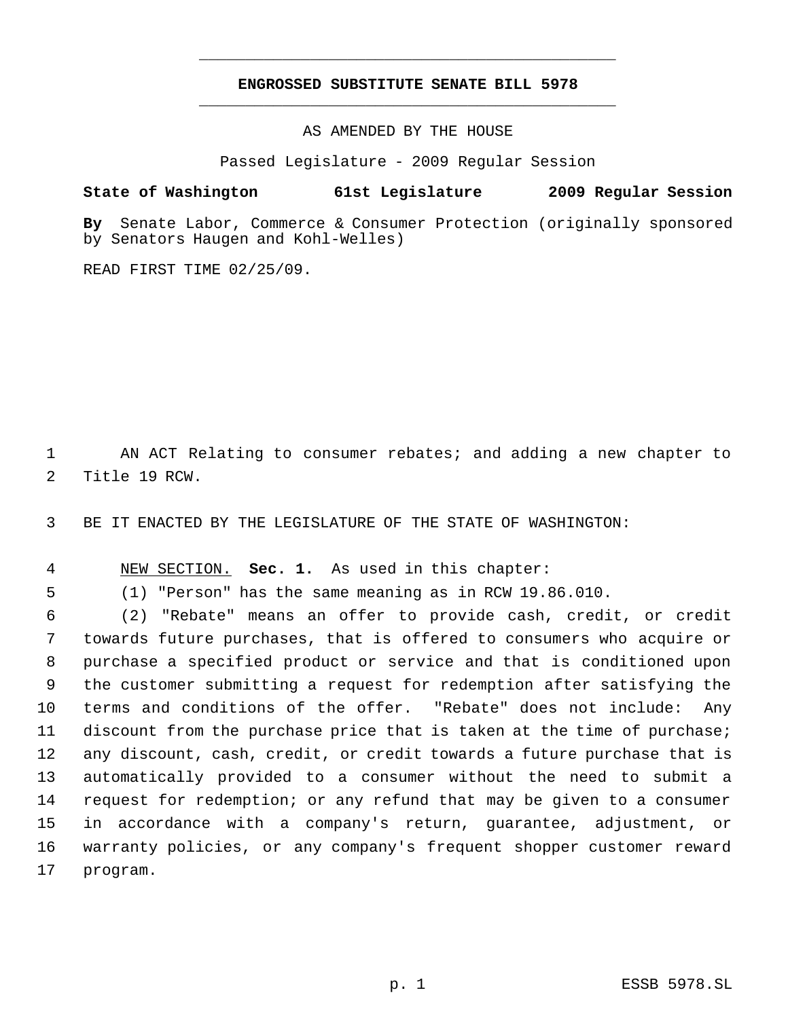## **ENGROSSED SUBSTITUTE SENATE BILL 5978** \_\_\_\_\_\_\_\_\_\_\_\_\_\_\_\_\_\_\_\_\_\_\_\_\_\_\_\_\_\_\_\_\_\_\_\_\_\_\_\_\_\_\_\_\_

\_\_\_\_\_\_\_\_\_\_\_\_\_\_\_\_\_\_\_\_\_\_\_\_\_\_\_\_\_\_\_\_\_\_\_\_\_\_\_\_\_\_\_\_\_

AS AMENDED BY THE HOUSE

Passed Legislature - 2009 Regular Session

## **State of Washington 61st Legislature 2009 Regular Session**

**By** Senate Labor, Commerce & Consumer Protection (originally sponsored by Senators Haugen and Kohl-Welles)

READ FIRST TIME 02/25/09.

 AN ACT Relating to consumer rebates; and adding a new chapter to Title 19 RCW.

BE IT ENACTED BY THE LEGISLATURE OF THE STATE OF WASHINGTON:

NEW SECTION. **Sec. 1.** As used in this chapter:

(1) "Person" has the same meaning as in RCW 19.86.010.

 (2) "Rebate" means an offer to provide cash, credit, or credit towards future purchases, that is offered to consumers who acquire or purchase a specified product or service and that is conditioned upon the customer submitting a request for redemption after satisfying the terms and conditions of the offer. "Rebate" does not include: Any discount from the purchase price that is taken at the time of purchase; any discount, cash, credit, or credit towards a future purchase that is automatically provided to a consumer without the need to submit a request for redemption; or any refund that may be given to a consumer in accordance with a company's return, guarantee, adjustment, or warranty policies, or any company's frequent shopper customer reward program.